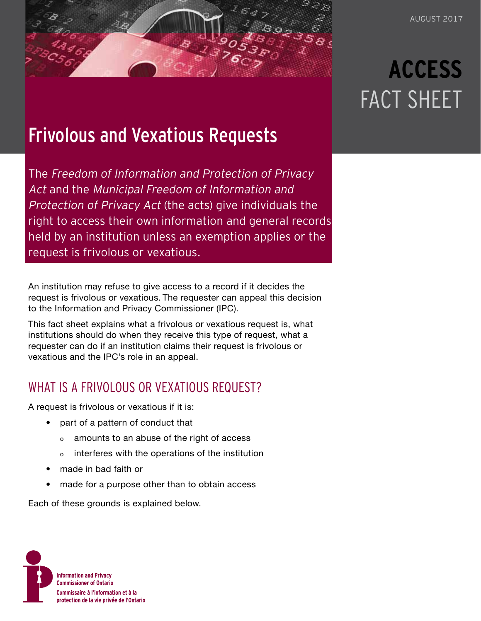## Frivolous and Vexatious Requests

The Freedom of Information and Protection of Privacy Act and the Municipal Freedom of Information and Protection of Privacy Act (the acts) give individuals the right to access their own information and general records held by an institution unless an exemption applies or the request is frivolous or vexatious.

An institution may refuse to give access to a record if it decides the request is frivolous or vexatious. The requester can appeal this decision to the Information and Privacy Commissioner (IPC).

This fact sheet explains what a frivolous or vexatious request is, what institutions should do when they receive this type of request, what a requester can do if an institution claims their request is frivolous or vexatious and the IPC's role in an appeal.

## WHAT IS A FRIVOLOUS OR VEXATIOUS REQUEST?

A request is frivolous or vexatious if it is:

- part of a pattern of conduct that
	- o amounts to an abuse of the right of access
	- o interferes with the operations of the institution
- made in bad faith or
- made for a purpose other than to obtain access

Each of these grounds is explained below.



# **ACCESS** FACT SHEET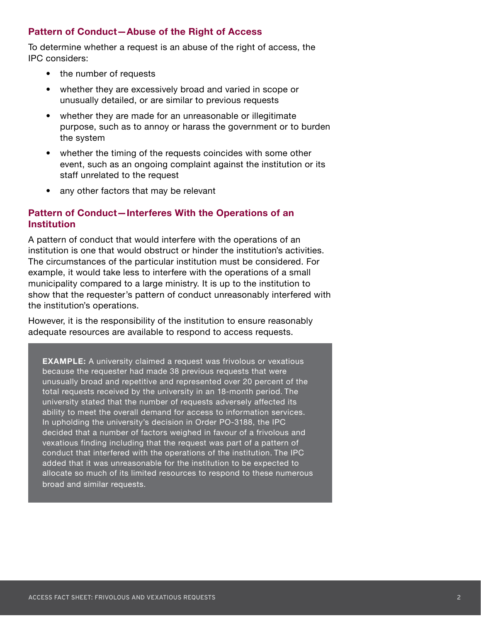#### **Pattern of Conduct—Abuse of the Right of Access**

To determine whether a request is an abuse of the right of access, the IPC considers:

- the number of requests
- whether they are excessively broad and varied in scope or unusually detailed, or are similar to previous requests
- whether they are made for an unreasonable or illegitimate purpose, such as to annoy or harass the government or to burden the system
- whether the timing of the requests coincides with some other event, such as an ongoing complaint against the institution or its staff unrelated to the request
- any other factors that may be relevant

#### **Pattern of Conduct—Interferes With the Operations of an Institution**

A pattern of conduct that would interfere with the operations of an institution is one that would obstruct or hinder the institution's activities. The circumstances of the particular institution must be considered. For example, it would take less to interfere with the operations of a small municipality compared to a large ministry. It is up to the institution to show that the requester's pattern of conduct unreasonably interfered with the institution's operations.

However, it is the responsibility of the institution to ensure reasonably adequate resources are available to respond to access requests.

**EXAMPLE:** A university claimed a request was frivolous or vexatious because the requester had made 38 previous requests that were unusually broad and repetitive and represented over 20 percent of the total requests received by the university in an 18-month period. The university stated that the number of requests adversely affected its ability to meet the overall demand for access to information services. In upholding the university's decision in Order PO-3188, the IPC decided that a number of factors weighed in favour of a frivolous and vexatious finding including that the request was part of a pattern of conduct that interfered with the operations of the institution. The IPC added that it was unreasonable for the institution to be expected to allocate so much of its limited resources to respond to these numerous broad and similar requests.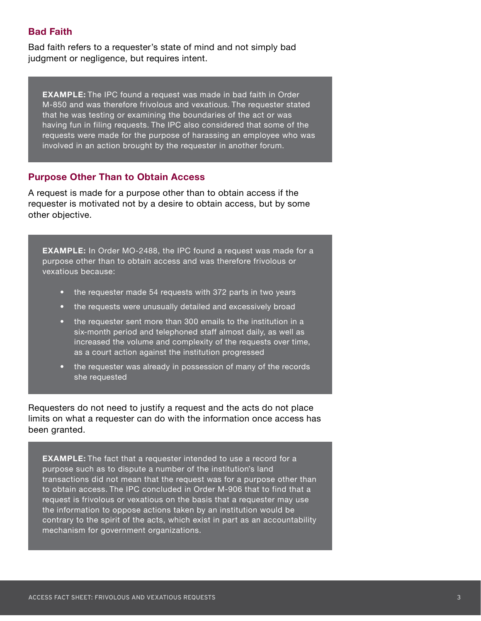#### **Bad Faith**

Bad faith refers to a requester's state of mind and not simply bad judgment or negligence, but requires intent.

**EXAMPLE:** The IPC found a request was made in bad faith in Order M-850 and was therefore frivolous and vexatious. The requester stated that he was testing or examining the boundaries of the act or was having fun in filing requests. The IPC also considered that some of the requests were made for the purpose of harassing an employee who was involved in an action brought by the requester in another forum.

#### **Purpose Other Than to Obtain Access**

A request is made for a purpose other than to obtain access if the requester is motivated not by a desire to obtain access, but by some other objective.

**EXAMPLE:** In Order MO-2488, the IPC found a request was made for a purpose other than to obtain access and was therefore frivolous or vexatious because:

- the requester made 54 requests with 372 parts in two years
- the requests were unusually detailed and excessively broad
- the requester sent more than 300 emails to the institution in a six-month period and telephoned staff almost daily, as well as increased the volume and complexity of the requests over time, as a court action against the institution progressed
- the requester was already in possession of many of the records she requested

Requesters do not need to justify a request and the acts do not place limits on what a requester can do with the information once access has been granted.

**EXAMPLE:** The fact that a requester intended to use a record for a purpose such as to dispute a number of the institution's land transactions did not mean that the request was for a purpose other than to obtain access. The IPC concluded in Order M-906 that to find that a request is frivolous or vexatious on the basis that a requester may use the information to oppose actions taken by an institution would be contrary to the spirit of the acts, which exist in part as an accountability mechanism for government organizations.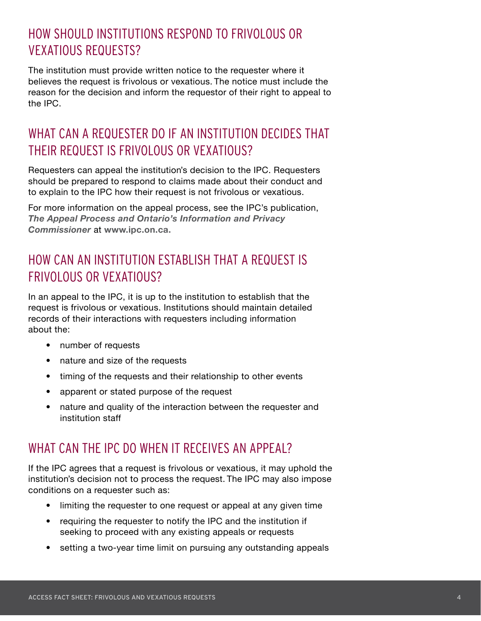## HOW SHOULD INSTITUTIONS RESPOND TO FRIVOLOUS OR VEXATIOUS REQUESTS?

The institution must provide written notice to the requester where it believes the request is frivolous or vexatious. The notice must include the reason for the decision and inform the requestor of their right to appeal to the IPC.

## WHAT CAN A REQUESTER DO IF AN INSTITUTION DECIDES THAT THEIR REQUEST IS FRIVOLOUS OR VEXATIOUS?

Requesters can appeal the institution's decision to the IPC. Requesters should be prepared to respond to claims made about their conduct and to explain to the IPC how their request is not frivolous or vexatious.

For more information on the appeal process, see the IPC's publication, *[The Appeal Process and Ontario's Information and Privacy](https://www.ipc.on.ca/wp-content/uploads/Resources/appeal_process-e.pdf)  [Commissioner](https://www.ipc.on.ca/wp-content/uploads/Resources/appeal_process-e.pdf)* at **[www.ipc.on.ca.](https://www.ipc.on.ca)**

## HOW CAN AN INSTITUTION ESTABLISH THAT A REQUEST IS FRIVOLOUS OR VEXATIOUS?

In an appeal to the IPC, it is up to the institution to establish that the request is frivolous or vexatious. Institutions should maintain detailed records of their interactions with requesters including information about the:

- number of requests
- nature and size of the requests
- timing of the requests and their relationship to other events
- apparent or stated purpose of the request
- nature and quality of the interaction between the requester and institution staff

## WHAT CAN THE IPC DO WHEN IT RECEIVES AN APPEAL?

If the IPC agrees that a request is frivolous or vexatious, it may uphold the institution's decision not to process the request. The IPC may also impose conditions on a requester such as:

- limiting the requester to one request or appeal at any given time
- requiring the requester to notify the IPC and the institution if seeking to proceed with any existing appeals or requests
- setting a two-year time limit on pursuing any outstanding appeals